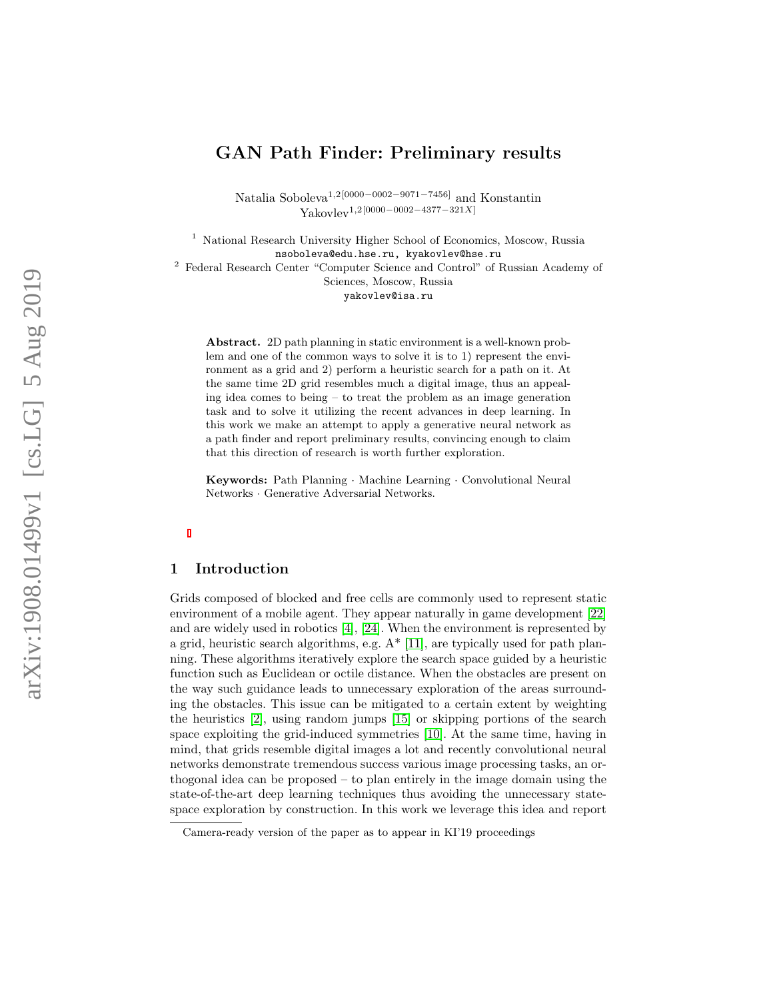# GAN Path Finder: Preliminary results

Natalia Soboleva<sup>1,2[0000–0002–9071–7456]</sup> and Konstantin  $Yakovlev<sup>1,2</sup>[0000-0002-4377-321X]$ 

<sup>1</sup> National Research University Higher School of Economics, Moscow, Russia nsoboleva@edu.hse.ru, kyakovlev@hse.ru <sup>2</sup> Federal Research Center "Computer Science and Control" of Russian Academy of Sciences, Moscow, Russia yakovlev@isa.ru

Abstract. 2D path planning in static environment is a well-known problem and one of the common ways to solve it is to 1) represent the environment as a grid and 2) perform a heuristic search for a path on it. At the same time 2D grid resembles much a digital image, thus an appealing idea comes to being – to treat the problem as an image generation task and to solve it utilizing the recent advances in deep learning. In this work we make an attempt to apply a generative neural network as a path finder and report preliminary results, convincing enough to claim that this direction of research is worth further exploration.

Keywords: Path Planning · Machine Learning · Convolutional Neural Networks · Generative Adversarial Networks.

# 1 Introduction

Grids composed of blocked and free cells are commonly used to represent static environment of a mobile agent. They appear naturally in game development [\[22\]](#page-8-0) and are widely used in robotics  $\vert 4 \vert$ ,  $\vert 24 \vert$ . When the environment is represented by a grid, heuristic search algorithms, e.g. A\* [\[11\]](#page-7-1), are typically used for path planning. These algorithms iteratively explore the search space guided by a heuristic function such as Euclidean or octile distance. When the obstacles are present on the way such guidance leads to unnecessary exploration of the areas surrounding the obstacles. This issue can be mitigated to a certain extent by weighting the heuristics [\[2\]](#page-7-2), using random jumps [\[15\]](#page-8-2) or skipping portions of the search space exploiting the grid-induced symmetries [\[10\]](#page-7-3). At the same time, having in mind, that grids resemble digital images a lot and recently convolutional neural networks demonstrate tremendous success various image processing tasks, an orthogonal idea can be proposed – to plan entirely in the image domain using the state-of-the-art deep learning techniques thus avoiding the unnecessary statespace exploration by construction. In this work we leverage this idea and report

Camera-ready version of the paper as to appear in KI'19 proceedings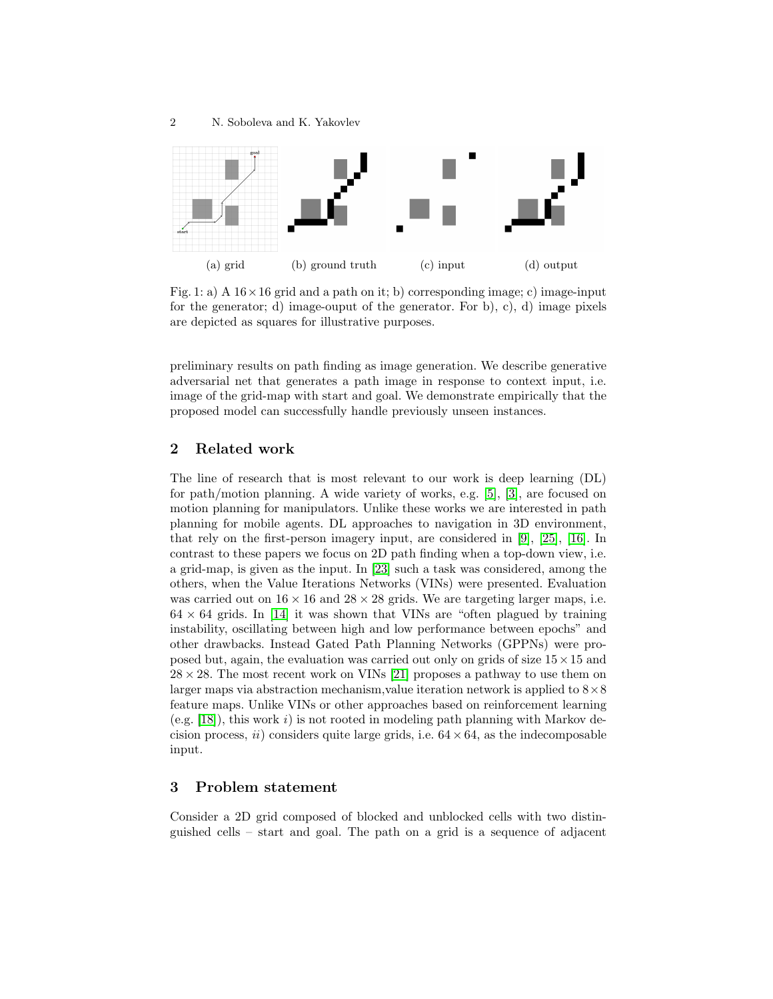<span id="page-1-0"></span>

Fig. 1: a) A  $16 \times 16$  grid and a path on it; b) corresponding image; c) image-input for the generator; d) image-ouput of the generator. For b), c), d) image pixels are depicted as squares for illustrative purposes.

preliminary results on path finding as image generation. We describe generative adversarial net that generates a path image in response to context input, i.e. image of the grid-map with start and goal. We demonstrate empirically that the proposed model can successfully handle previously unseen instances.

### 2 Related work

The line of research that is most relevant to our work is deep learning (DL) for path/motion planning. A wide variety of works, e.g. [\[5\]](#page-7-4), [\[3\]](#page-7-5), are focused on motion planning for manipulators. Unlike these works we are interested in path planning for mobile agents. DL approaches to navigation in 3D environment, that rely on the first-person imagery input, are considered in [\[9\]](#page-7-6), [\[25\]](#page-8-3), [\[16\]](#page-8-4). In contrast to these papers we focus on 2D path finding when a top-down view, i.e. a grid-map, is given as the input. In [\[23\]](#page-8-5) such a task was considered, among the others, when the Value Iterations Networks (VINs) were presented. Evaluation was carried out on  $16 \times 16$  and  $28 \times 28$  grids. We are targeting larger maps, i.e.  $64 \times 64$  grids. In [\[14\]](#page-8-6) it was shown that VINs are "often plagued by training instability, oscillating between high and low performance between epochs" and other drawbacks. Instead Gated Path Planning Networks (GPPNs) were proposed but, again, the evaluation was carried out only on grids of size  $15 \times 15$  and  $28 \times 28$ . The most recent work on VINs [\[21\]](#page-8-7) proposes a pathway to use them on larger maps via abstraction mechanism, value iteration network is applied to  $8\times8$ feature maps. Unlike VINs or other approaches based on reinforcement learning  $(e.g. [18])$  $(e.g. [18])$  $(e.g. [18])$ , this work i) is not rooted in modeling path planning with Markov decision process,  $ii)$  considers quite large grids, i.e.  $64 \times 64$ , as the indecomposable input.

# 3 Problem statement

Consider a 2D grid composed of blocked and unblocked cells with two distinguished cells – start and goal. The path on a grid is a sequence of adjacent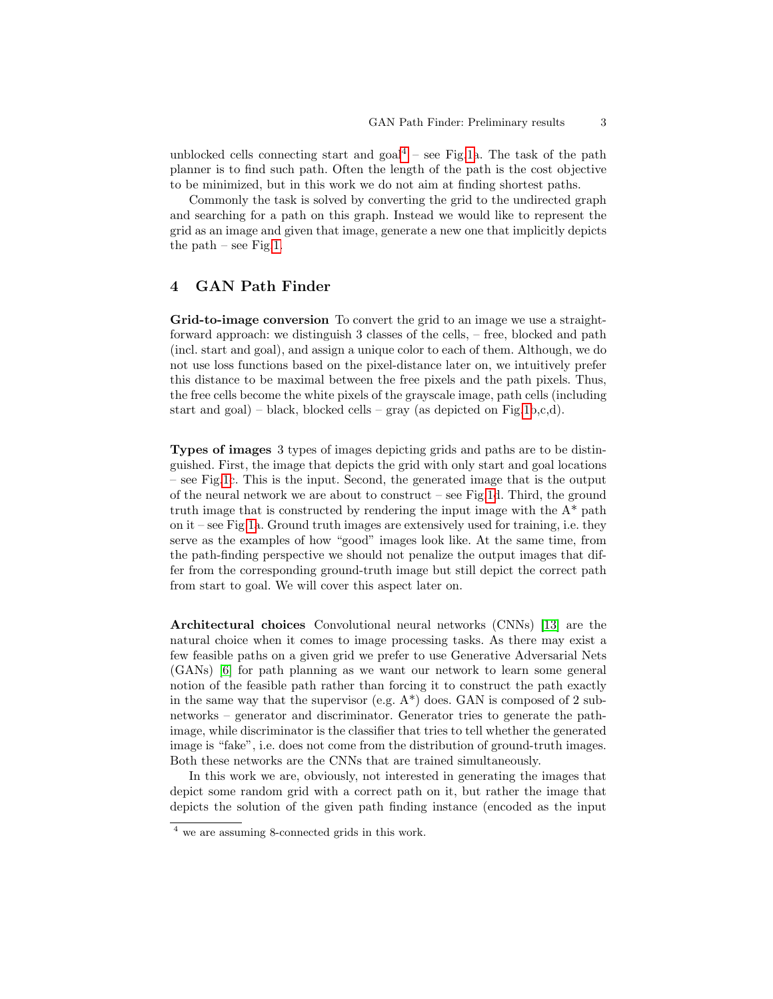unblocked cells connecting start and  $\text{goal}^4$  $\text{goal}^4$  – see Fig[.1a](#page-1-0). The task of the path planner is to find such path. Often the length of the path is the cost objective to be minimized, but in this work we do not aim at finding shortest paths.

Commonly the task is solved by converting the grid to the undirected graph and searching for a path on this graph. Instead we would like to represent the grid as an image and given that image, generate a new one that implicitly depicts the path – see Fig[.1.](#page-1-0)

#### 4 GAN Path Finder

Grid-to-image conversion To convert the grid to an image we use a straightforward approach: we distinguish 3 classes of the cells, – free, blocked and path (incl. start and goal), and assign a unique color to each of them. Although, we do not use loss functions based on the pixel-distance later on, we intuitively prefer this distance to be maximal between the free pixels and the path pixels. Thus, the free cells become the white pixels of the grayscale image, path cells (including start and goal) – black, blocked cells – gray (as depicted on Fig[.1b](#page-1-0),c,d).

Types of images 3 types of images depicting grids and paths are to be distinguished. First, the image that depicts the grid with only start and goal locations – see Fig[.1c](#page-1-0). This is the input. Second, the generated image that is the output of the neural network we are about to construct – see Fig[.1d](#page-1-0). Third, the ground truth image that is constructed by rendering the input image with the  $A^*$  path on it – see Fig[.1a](#page-1-0). Ground truth images are extensively used for training, i.e. they serve as the examples of how "good" images look like. At the same time, from the path-finding perspective we should not penalize the output images that differ from the corresponding ground-truth image but still depict the correct path from start to goal. We will cover this aspect later on.

Architectural choices Convolutional neural networks (CNNs) [\[13\]](#page-7-7) are the natural choice when it comes to image processing tasks. As there may exist a few feasible paths on a given grid we prefer to use Generative Adversarial Nets (GANs) [\[6\]](#page-7-8) for path planning as we want our network to learn some general notion of the feasible path rather than forcing it to construct the path exactly in the same way that the supervisor (e.g.  $A^*$ ) does. GAN is composed of 2 subnetworks – generator and discriminator. Generator tries to generate the pathimage, while discriminator is the classifier that tries to tell whether the generated image is "fake", i.e. does not come from the distribution of ground-truth images. Both these networks are the CNNs that are trained simultaneously.

In this work we are, obviously, not interested in generating the images that depict some random grid with a correct path on it, but rather the image that depicts the solution of the given path finding instance (encoded as the input

<span id="page-2-0"></span><sup>4</sup> we are assuming 8-connected grids in this work.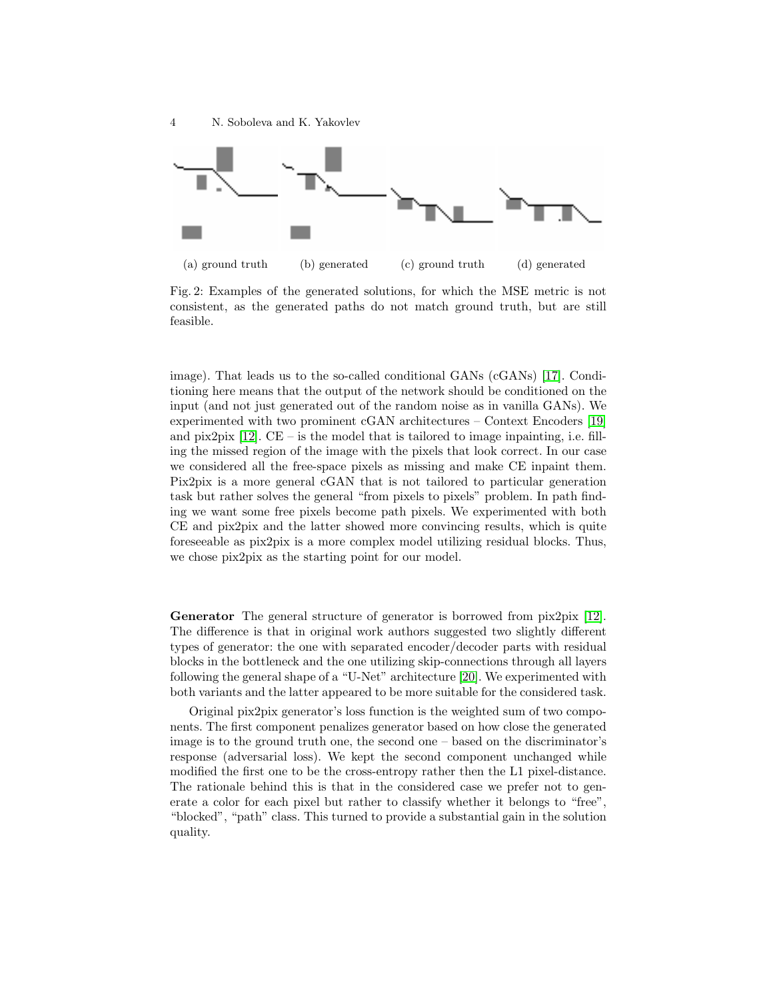<span id="page-3-0"></span>

Fig. 2: Examples of the generated solutions, for which the MSE metric is not consistent, as the generated paths do not match ground truth, but are still feasible.

image). That leads us to the so-called conditional GANs (cGANs) [\[17\]](#page-8-9). Conditioning here means that the output of the network should be conditioned on the input (and not just generated out of the random noise as in vanilla GANs). We experimented with two prominent cGAN architectures – Context Encoders [\[19\]](#page-8-10) and pix2pix  $[12]$ . CE – is the model that is tailored to image inpainting, i.e. filling the missed region of the image with the pixels that look correct. In our case we considered all the free-space pixels as missing and make CE inpaint them. Pix2pix is a more general cGAN that is not tailored to particular generation task but rather solves the general "from pixels to pixels" problem. In path finding we want some free pixels become path pixels. We experimented with both CE and pix2pix and the latter showed more convincing results, which is quite foreseeable as pix2pix is a more complex model utilizing residual blocks. Thus, we chose pix2pix as the starting point for our model.

Generator The general structure of generator is borrowed from  $\frac{\bar{p}z}{p}$  [\[12\]](#page-7-9). The difference is that in original work authors suggested two slightly different types of generator: the one with separated encoder/decoder parts with residual blocks in the bottleneck and the one utilizing skip-connections through all layers following the general shape of a "U-Net" architecture [\[20\]](#page-8-11). We experimented with both variants and the latter appeared to be more suitable for the considered task.

Original pix2pix generator's loss function is the weighted sum of two components. The first component penalizes generator based on how close the generated image is to the ground truth one, the second one – based on the discriminator's response (adversarial loss). We kept the second component unchanged while modified the first one to be the cross-entropy rather then the L1 pixel-distance. The rationale behind this is that in the considered case we prefer not to generate a color for each pixel but rather to classify whether it belongs to "free", "blocked", "path" class. This turned to provide a substantial gain in the solution quality.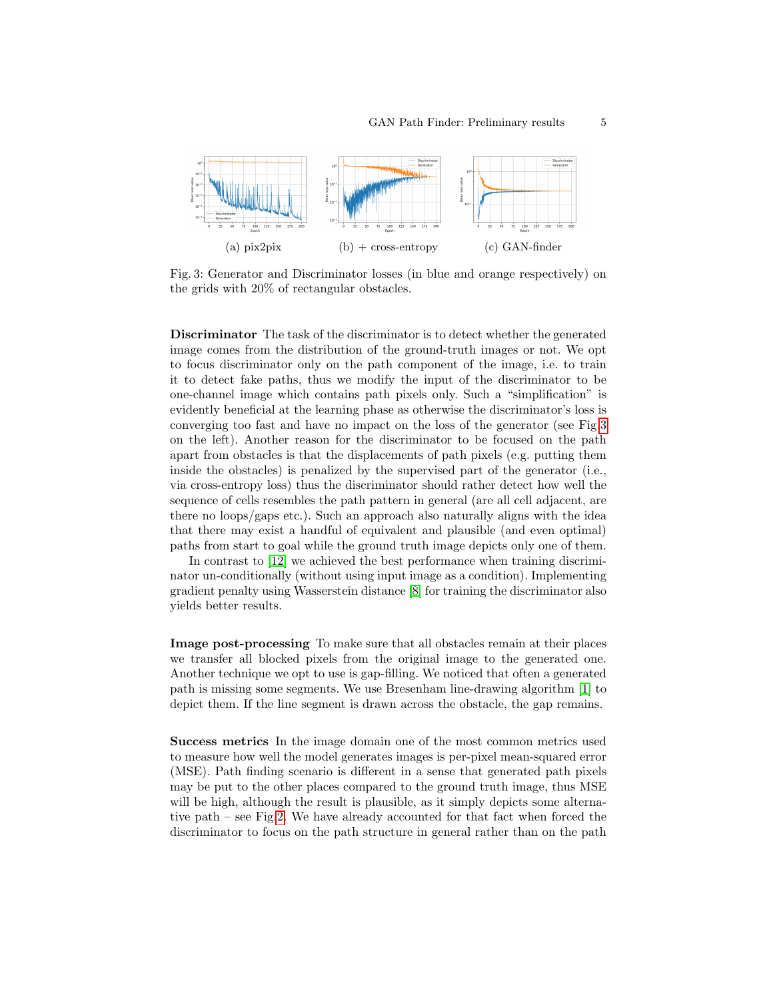<span id="page-4-0"></span>

Fig. 3: Generator and Discriminator losses (in blue and orange respectively) on the grids with 20% of rectangular obstacles.

Discriminator The task of the discriminator is to detect whether the generated image comes from the distribution of the ground-truth images or not. We opt to focus discriminator only on the path component of the image, i.e. to train it to detect fake paths, thus we modify the input of the discriminator to be one-channel image which contains path pixels only. Such a "simplification" is evidently beneficial at the learning phase as otherwise the discriminator's loss is converging too fast and have no impact on the loss of the generator (see Fig[.3](#page-4-0) on the left). Another reason for the discriminator to be focused on the path apart from obstacles is that the displacements of path pixels (e.g. putting them inside the obstacles) is penalized by the supervised part of the generator (i.e., via cross-entropy loss) thus the discriminator should rather detect how well the sequence of cells resembles the path pattern in general (are all cell adjacent, are there no loops/gaps etc.). Such an approach also naturally aligns with the idea that there may exist a handful of equivalent and plausible (and even optimal) paths from start to goal while the ground truth image depicts only one of them.

In contrast to [\[12\]](#page-7-9) we achieved the best performance when training discriminator un-conditionally (without using input image as a condition). Implementing gradient penalty using Wasserstein distance [\[8\]](#page-7-10) for training the discriminator also yields better results.

Image post-processing To make sure that all obstacles remain at their places we transfer all blocked pixels from the original image to the generated one. Another technique we opt to use is gap-filling. We noticed that often a generated path is missing some segments. We use Bresenham line-drawing algorithm [\[1\]](#page-7-11) to depict them. If the line segment is drawn across the obstacle, the gap remains.

Success metrics In the image domain one of the most common metrics used to measure how well the model generates images is per-pixel mean-squared error (MSE). Path finding scenario is different in a sense that generated path pixels may be put to the other places compared to the ground truth image, thus MSE will be high, although the result is plausible, as it simply depicts some alternative path – see Fig[.2.](#page-3-0) We have already accounted for that fact when forced the discriminator to focus on the path structure in general rather than on the path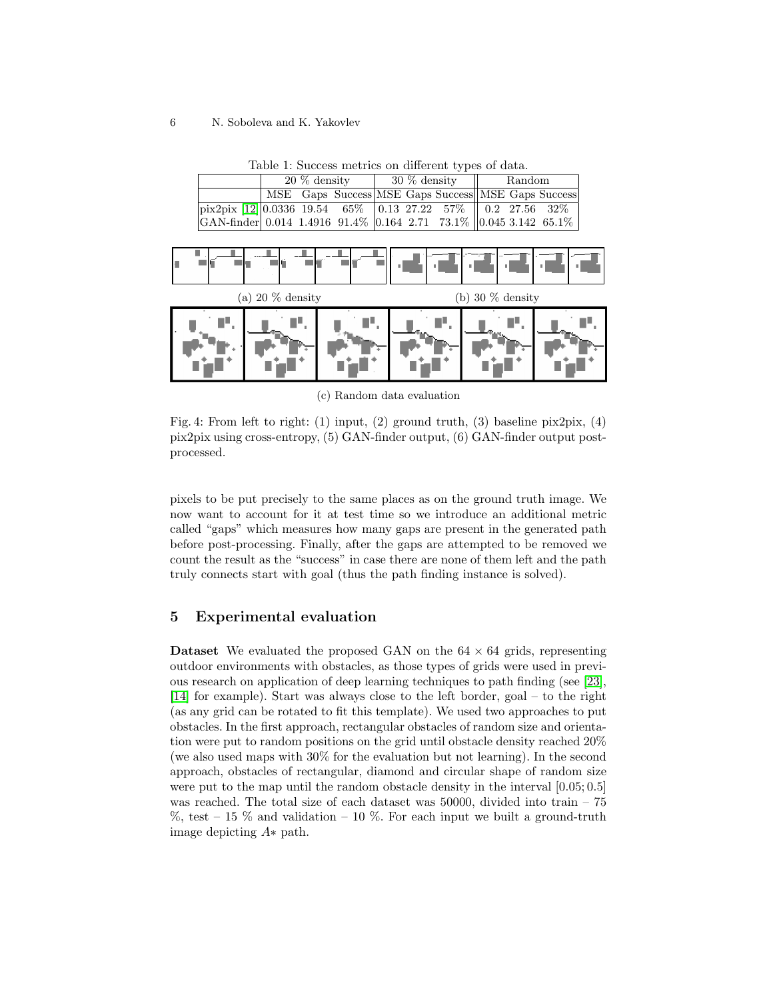#### <span id="page-5-1"></span>6 N. Soboleva and K. Yakovlev

| MSE Gaps Success MSE Gaps Success MSE Gaps Success<br>$\boxed{\text{pix2pix}$ [12] 0.0336 19.54 65% 0.13 27.22 57% 0.2 27.56 32%<br>GAN-finder 0.014 1.4916 91.4% 0.164 2.71 73.1% 0.045 3.142 65.1% | $20\%$ density |  |  | $\frac{1}{8}$ 30 % density |  |  | $\parallel$ Random |  |  |
|------------------------------------------------------------------------------------------------------------------------------------------------------------------------------------------------------|----------------|--|--|----------------------------|--|--|--------------------|--|--|
|                                                                                                                                                                                                      |                |  |  |                            |  |  |                    |  |  |
|                                                                                                                                                                                                      |                |  |  |                            |  |  |                    |  |  |
|                                                                                                                                                                                                      |                |  |  |                            |  |  |                    |  |  |

Table 1: Success metrics on different types of data.

<span id="page-5-0"></span>

(c) Random data evaluation

Fig. 4: From left to right: (1) input, (2) ground truth, (3) baseline pix2pix, (4) pix2pix using cross-entropy, (5) GAN-finder output, (6) GAN-finder output postprocessed.

pixels to be put precisely to the same places as on the ground truth image. We now want to account for it at test time so we introduce an additional metric called "gaps" which measures how many gaps are present in the generated path before post-processing. Finally, after the gaps are attempted to be removed we count the result as the "success" in case there are none of them left and the path truly connects start with goal (thus the path finding instance is solved).

# 5 Experimental evaluation

**Dataset** We evaluated the proposed GAN on the  $64 \times 64$  grids, representing outdoor environments with obstacles, as those types of grids were used in previous research on application of deep learning techniques to path finding (see [\[23\]](#page-8-5), [\[14\]](#page-8-6) for example). Start was always close to the left border, goal – to the right (as any grid can be rotated to fit this template). We used two approaches to put obstacles. In the first approach, rectangular obstacles of random size and orientation were put to random positions on the grid until obstacle density reached 20% (we also used maps with 30% for the evaluation but not learning). In the second approach, obstacles of rectangular, diamond and circular shape of random size were put to the map until the random obstacle density in the interval  $[0.05; 0.5]$ was reached. The total size of each dataset was 50000, divided into train – 75  $\%$ , test – 15  $\%$  and validation – 10  $\%$ . For each input we built a ground-truth image depicting A∗ path.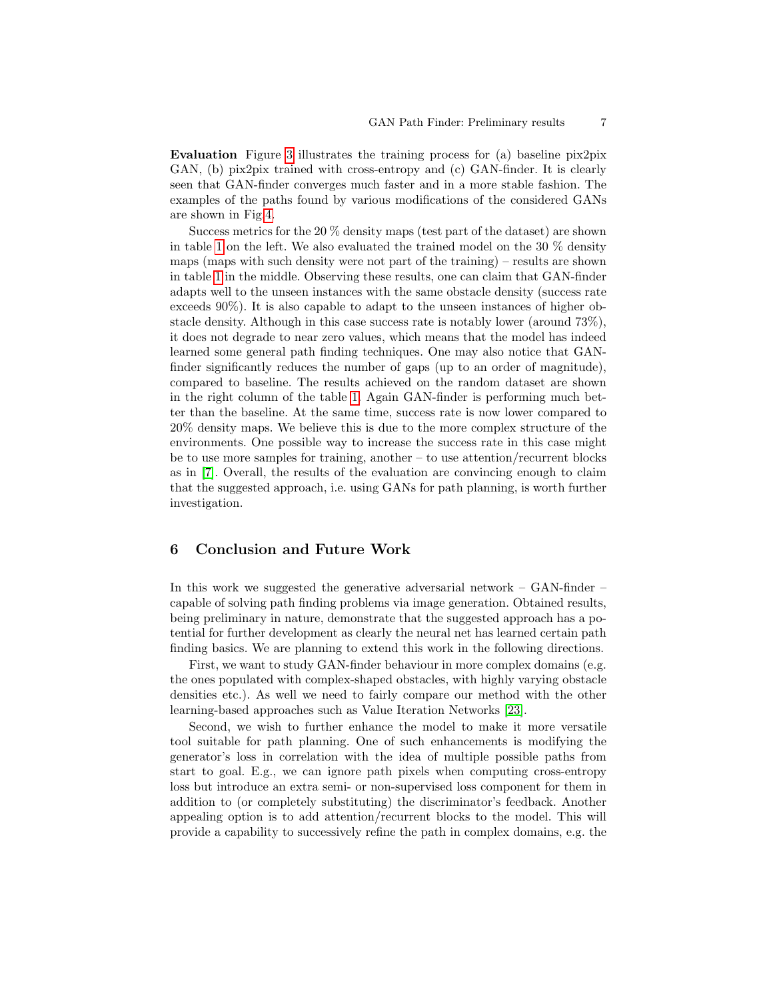Evaluation Figure [3](#page-4-0) illustrates the training process for (a) baseline pix2pix GAN, (b) pix2pix trained with cross-entropy and (c) GAN-finder. It is clearly seen that GAN-finder converges much faster and in a more stable fashion. The examples of the paths found by various modifications of the considered GANs are shown in Fig[.4.](#page-5-0)

Success metrics for the 20 % density maps (test part of the dataset) are shown in table [1](#page-5-1) on the left. We also evaluated the trained model on the 30 % density maps (maps with such density were not part of the training) – results are shown in table [1](#page-5-1) in the middle. Observing these results, one can claim that GAN-finder adapts well to the unseen instances with the same obstacle density (success rate exceeds 90%). It is also capable to adapt to the unseen instances of higher obstacle density. Although in this case success rate is notably lower (around 73%), it does not degrade to near zero values, which means that the model has indeed learned some general path finding techniques. One may also notice that GANfinder significantly reduces the number of gaps (up to an order of magnitude), compared to baseline. The results achieved on the random dataset are shown in the right column of the table [1.](#page-5-1) Again GAN-finder is performing much better than the baseline. At the same time, success rate is now lower compared to 20% density maps. We believe this is due to the more complex structure of the environments. One possible way to increase the success rate in this case might be to use more samples for training, another – to use attention/recurrent blocks as in [\[7\]](#page-7-12). Overall, the results of the evaluation are convincing enough to claim that the suggested approach, i.e. using GANs for path planning, is worth further investigation.

# 6 Conclusion and Future Work

In this work we suggested the generative adversarial network – GAN-finder – capable of solving path finding problems via image generation. Obtained results, being preliminary in nature, demonstrate that the suggested approach has a potential for further development as clearly the neural net has learned certain path finding basics. We are planning to extend this work in the following directions.

First, we want to study GAN-finder behaviour in more complex domains (e.g. the ones populated with complex-shaped obstacles, with highly varying obstacle densities etc.). As well we need to fairly compare our method with the other learning-based approaches such as Value Iteration Networks [\[23\]](#page-8-5).

Second, we wish to further enhance the model to make it more versatile tool suitable for path planning. One of such enhancements is modifying the generator's loss in correlation with the idea of multiple possible paths from start to goal. E.g., we can ignore path pixels when computing cross-entropy loss but introduce an extra semi- or non-supervised loss component for them in addition to (or completely substituting) the discriminator's feedback. Another appealing option is to add attention/recurrent blocks to the model. This will provide a capability to successively refine the path in complex domains, e.g. the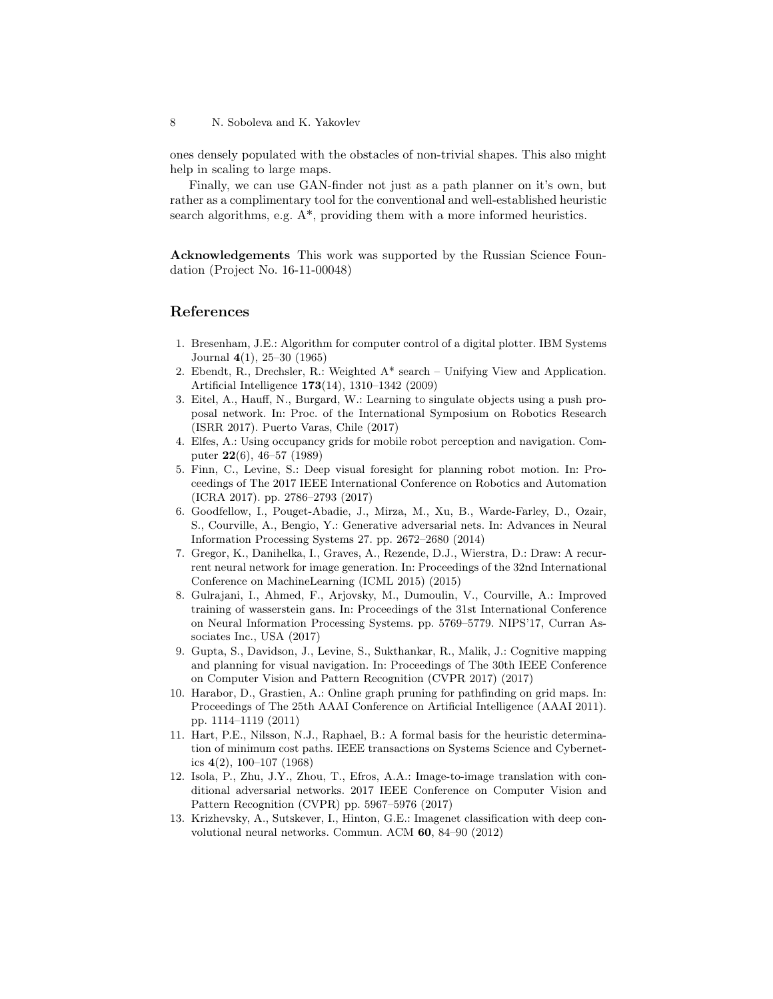ones densely populated with the obstacles of non-trivial shapes. This also might help in scaling to large maps.

Finally, we can use GAN-finder not just as a path planner on it's own, but rather as a complimentary tool for the conventional and well-established heuristic search algorithms, e.g.  $A^*$ , providing them with a more informed heuristics.

Acknowledgements This work was supported by the Russian Science Foundation (Project No. 16-11-00048)

## References

- <span id="page-7-11"></span>1. Bresenham, J.E.: Algorithm for computer control of a digital plotter. IBM Systems Journal 4(1), 25–30 (1965)
- <span id="page-7-2"></span>2. Ebendt, R., Drechsler, R.: Weighted A\* search – Unifying View and Application. Artificial Intelligence 173(14), 1310–1342 (2009)
- <span id="page-7-5"></span>3. Eitel, A., Hauff, N., Burgard, W.: Learning to singulate objects using a push proposal network. In: Proc. of the International Symposium on Robotics Research (ISRR 2017). Puerto Varas, Chile (2017)
- <span id="page-7-0"></span>4. Elfes, A.: Using occupancy grids for mobile robot perception and navigation. Computer 22(6), 46–57 (1989)
- <span id="page-7-4"></span>5. Finn, C., Levine, S.: Deep visual foresight for planning robot motion. In: Proceedings of The 2017 IEEE International Conference on Robotics and Automation (ICRA 2017). pp. 2786–2793 (2017)
- <span id="page-7-8"></span>6. Goodfellow, I., Pouget-Abadie, J., Mirza, M., Xu, B., Warde-Farley, D., Ozair, S., Courville, A., Bengio, Y.: Generative adversarial nets. In: Advances in Neural Information Processing Systems 27. pp. 2672–2680 (2014)
- <span id="page-7-12"></span>7. Gregor, K., Danihelka, I., Graves, A., Rezende, D.J., Wierstra, D.: Draw: A recurrent neural network for image generation. In: Proceedings of the 32nd International Conference on MachineLearning (ICML 2015) (2015)
- <span id="page-7-10"></span>8. Gulrajani, I., Ahmed, F., Arjovsky, M., Dumoulin, V., Courville, A.: Improved training of wasserstein gans. In: Proceedings of the 31st International Conference on Neural Information Processing Systems. pp. 5769–5779. NIPS'17, Curran Associates Inc., USA (2017)
- <span id="page-7-6"></span>9. Gupta, S., Davidson, J., Levine, S., Sukthankar, R., Malik, J.: Cognitive mapping and planning for visual navigation. In: Proceedings of The 30th IEEE Conference on Computer Vision and Pattern Recognition (CVPR 2017) (2017)
- <span id="page-7-3"></span>10. Harabor, D., Grastien, A.: Online graph pruning for pathfinding on grid maps. In: Proceedings of The 25th AAAI Conference on Artificial Intelligence (AAAI 2011). pp. 1114–1119 (2011)
- <span id="page-7-1"></span>11. Hart, P.E., Nilsson, N.J., Raphael, B.: A formal basis for the heuristic determination of minimum cost paths. IEEE transactions on Systems Science and Cybernetics  $4(2)$ , 100–107 (1968)
- <span id="page-7-9"></span>12. Isola, P., Zhu, J.Y., Zhou, T., Efros, A.A.: Image-to-image translation with conditional adversarial networks. 2017 IEEE Conference on Computer Vision and Pattern Recognition (CVPR) pp. 5967–5976 (2017)
- <span id="page-7-7"></span>13. Krizhevsky, A., Sutskever, I., Hinton, G.E.: Imagenet classification with deep convolutional neural networks. Commun. ACM 60, 84–90 (2012)